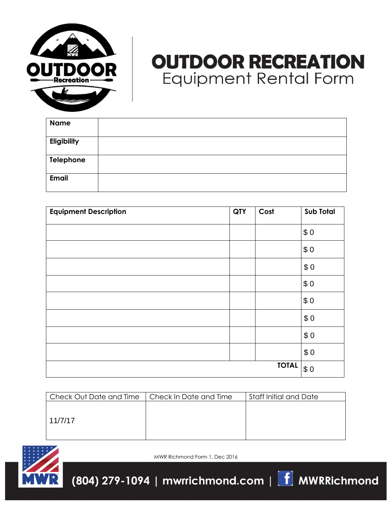

## **OUTDOOR RECREATION Equipment Rental Form**

| <b>Name</b>  |  |
|--------------|--|
| Eligibility  |  |
| Telephone    |  |
| <b>Email</b> |  |

| <b>Equipment Description</b> | QTY | Cost         | Sub Total |
|------------------------------|-----|--------------|-----------|
|                              |     |              | \$0       |
|                              |     |              | \$0       |
|                              |     |              | \$0       |
|                              |     |              | \$0       |
|                              |     |              | \$0       |
|                              |     |              | \$0       |
|                              |     |              | \$0       |
|                              |     |              | \$0       |
|                              |     | <b>TOTAL</b> | \$0       |

| Check Out Date and Time | Check In Date and Time | Staff Initial and Date |
|-------------------------|------------------------|------------------------|
|                         |                        |                        |
|                         |                        |                        |
| 11/7/17                 |                        |                        |
|                         |                        |                        |



MWR Richmond Form 1, Dec 2016

(804) 279-1094 | mwrrichmond.com |  $\boxed{\textbf{f}}$  MWRRichmond